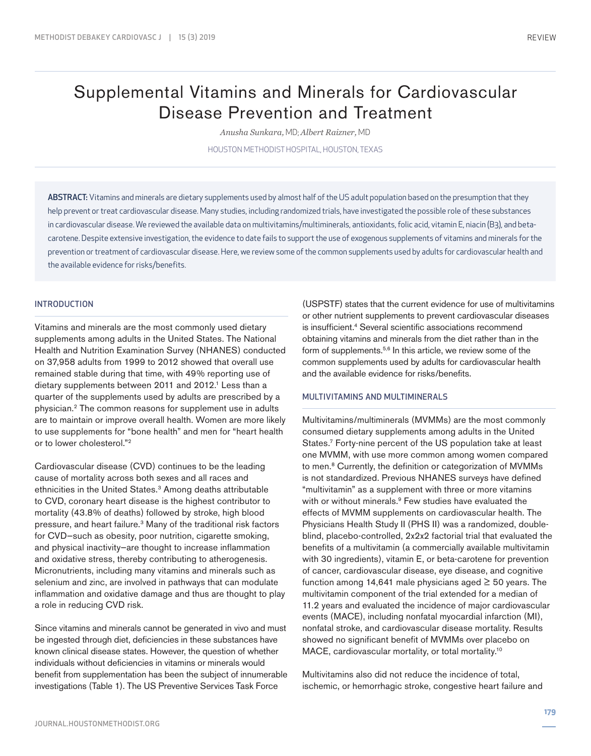# Supplemental Vitamins and Minerals for Cardiovascular Disease Prevention and Treatment

*Anusha Sunkara,* MD; *Albert Raizner,* MD

HOUSTON METHODIST HOSPITAL, HOUSTON, TEXAS

ABSTRACT: Vitamins and minerals are dietary supplements used by almost half of the US adult population based on the presumption that they help prevent or treat cardiovascular disease. Many studies, including randomized trials, have investigated the possible role of these substances in cardiovascular disease. We reviewed the available data on multivitamins/multiminerals, antioxidants, folic acid, vitamin E, niacin (B3), and betacarotene. Despite extensive investigation, the evidence to date fails to support the use of exogenous supplements of vitamins and minerals for the prevention or treatment of cardiovascular disease. Here, we review some of the common supplements used by adults for cardiovascular health and the available evidence for risks/benefits.

## INTRODUCTION

Vitamins and minerals are the most commonly used dietary supplements among adults in the United States. The National Health and Nutrition Examination Survey (NHANES) conducted on 37,958 adults from 1999 to 2012 showed that overall use remained stable during that time, with 49% reporting use of dietary supplements between 2011 and 2012.<sup>1</sup> Less than a quarter of the supplements used by adults are prescribed by a physician.2 The common reasons for supplement use in adults are to maintain or improve overall health. Women are more likely to use supplements for "bone health" and men for "heart health or to lower cholesterol."2

Cardiovascular disease (CVD) continues to be the leading cause of mortality across both sexes and all races and ethnicities in the United States.<sup>3</sup> Among deaths attributable to CVD, coronary heart disease is the highest contributor to mortality (43.8% of deaths) followed by stroke, high blood pressure, and heart failure.3 Many of the traditional risk factors for CVD—such as obesity, poor nutrition, cigarette smoking, and physical inactivity—are thought to increase inflammation and oxidative stress, thereby contributing to atherogenesis. Micronutrients, including many vitamins and minerals such as selenium and zinc, are involved in pathways that can modulate inflammation and oxidative damage and thus are thought to play a role in reducing CVD risk.

Since vitamins and minerals cannot be generated in vivo and must be ingested through diet, deficiencies in these substances have known clinical disease states. However, the question of whether individuals without deficiencies in vitamins or minerals would benefit from supplementation has been the subject of innumerable investigations (Table 1). The US Preventive Services Task Force

(USPSTF) states that the current evidence for use of multivitamins or other nutrient supplements to prevent cardiovascular diseases is insufficient.4 Several scientific associations recommend obtaining vitamins and minerals from the diet rather than in the form of supplements.<sup>5,6</sup> In this article, we review some of the common supplements used by adults for cardiovascular health and the available evidence for risks/benefits.

## MULTIVITAMINS AND MULTIMINERALS

Multivitamins/multiminerals (MVMMs) are the most commonly consumed dietary supplements among adults in the United States.7 Forty-nine percent of the US population take at least one MVMM, with use more common among women compared to men.<sup>8</sup> Currently, the definition or categorization of MVMMs is not standardized. Previous NHANES surveys have defined "multivitamin" as a supplement with three or more vitamins with or without minerals.<sup>9</sup> Few studies have evaluated the effects of MVMM supplements on cardiovascular health. The Physicians Health Study II (PHS II) was a randomized, doubleblind, placebo-controlled, 2x2x2 factorial trial that evaluated the benefits of a multivitamin (a commercially available multivitamin with 30 ingredients), vitamin E, or beta-carotene for prevention of cancer, cardiovascular disease, eye disease, and cognitive function among 14,641 male physicians aged  $\geq$  50 years. The multivitamin component of the trial extended for a median of 11.2 years and evaluated the incidence of major cardiovascular events (MACE), including nonfatal myocardial infarction (MI), nonfatal stroke, and cardiovascular disease mortality. Results showed no significant benefit of MVMMs over placebo on MACE, cardiovascular mortality, or total mortality.<sup>10</sup>

Multivitamins also did not reduce the incidence of total, ischemic, or hemorrhagic stroke, congestive heart failure and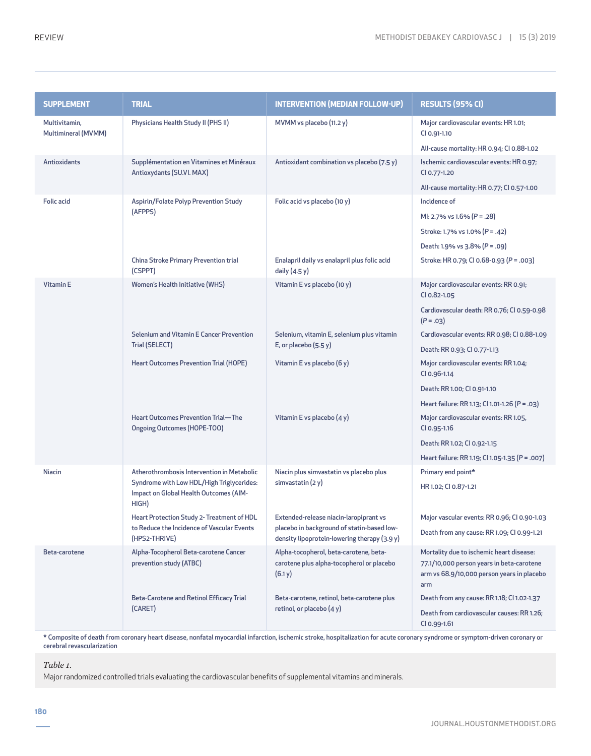| <b>SUPPLEMENT</b>                    | <b>TRIAL</b>                                                                                                                               | <b>INTERVENTION (MEDIAN FOLLOW-UP)</b>                                                         | RESULTS (95% CI)                                                                                                                           |
|--------------------------------------|--------------------------------------------------------------------------------------------------------------------------------------------|------------------------------------------------------------------------------------------------|--------------------------------------------------------------------------------------------------------------------------------------------|
| Multivitamin,<br>Multimineral (MVMM) | Physicians Health Study II (PHS II)                                                                                                        | MVMM vs placebo (11.2 y)                                                                       | Major cardiovascular events: HR 1.01;<br>CI 0.91-1.10                                                                                      |
|                                      |                                                                                                                                            |                                                                                                | All-cause mortality: HR 0.94; CI 0.88-1.02                                                                                                 |
| <b>Antioxidants</b>                  | Supplémentation en Vitamines et Minéraux<br>Antioxydants (SU.VI. MAX)                                                                      | Antioxidant combination vs placebo (7.5 y)                                                     | Ischemic cardiovascular events: HR 0.97;<br>CI 0.77-1.20                                                                                   |
|                                      |                                                                                                                                            |                                                                                                | All-cause mortality: HR 0.77; CI 0.57-1.00                                                                                                 |
| <b>Folic acid</b>                    | Aspirin/Folate Polyp Prevention Study<br>(AFPPS)                                                                                           | Folic acid vs placebo (10 y)                                                                   | Incidence of                                                                                                                               |
|                                      |                                                                                                                                            |                                                                                                | MI: 2.7% vs 1.6% $(P = .28)$                                                                                                               |
|                                      |                                                                                                                                            |                                                                                                | Stroke: 1.7% vs 1.0% (P = .42)                                                                                                             |
|                                      |                                                                                                                                            |                                                                                                | Death: 1.9% vs 3.8% (P = .09)                                                                                                              |
|                                      | <b>China Stroke Primary Prevention trial</b><br>(CSPPT)                                                                                    | Enalapril daily vs enalapril plus folic acid<br>daily $(4.5 y)$                                | Stroke: HR 0.79; CI 0.68-0.93 (P = .003)                                                                                                   |
| Vitamin E                            | <b>Women's Health Initiative (WHS)</b>                                                                                                     | Vitamin E vs placebo (10 y)                                                                    | Major cardiovascular events: RR 0.91;<br>CI 0.82-1.05                                                                                      |
|                                      |                                                                                                                                            |                                                                                                | Cardiovascular death: RR 0.76; CI 0.59-0.98<br>$(P=.03)$                                                                                   |
|                                      | <b>Selenium and Vitamin E Cancer Prevention</b><br>Trial (SELECT)                                                                          | Selenium, vitamin E, selenium plus vitamin<br>E, or placebo $(5.5 y)$                          | Cardiovascular events: RR 0.98; CI 0.88-1.09                                                                                               |
|                                      |                                                                                                                                            |                                                                                                | Death: RR 0.93; CI 0.77-1.13                                                                                                               |
|                                      | <b>Heart Outcomes Prevention Trial (HOPE)</b>                                                                                              | Vitamin E vs placebo (6 y)                                                                     | Major cardiovascular events: RR 1.04;<br>CI 0.96-1.14                                                                                      |
|                                      |                                                                                                                                            |                                                                                                | Death: RR 1.00; CI 0.91-1.10                                                                                                               |
|                                      | <b>Heart Outcomes Prevention Trial-The</b><br><b>Ongoing Outcomes (HOPE-TOO)</b>                                                           | Vitamin E vs placebo $(4 y)$                                                                   | Heart failure: RR 1.13; CI 1.01-1.26 (P = .03)                                                                                             |
|                                      |                                                                                                                                            |                                                                                                | Major cardiovascular events: RR 1.05,<br>CI 0.95-1.16                                                                                      |
|                                      |                                                                                                                                            |                                                                                                | Death: RR 1.02; CI 0.92-1.15                                                                                                               |
|                                      |                                                                                                                                            |                                                                                                | Heart failure: RR 1.19; CI 1.05-1.35 (P = .007)                                                                                            |
| <b>Niacin</b>                        | Atherothrombosis Intervention in Metabolic<br>Syndrome with Low HDL/High Triglycerides:<br>Impact on Global Health Outcomes (AIM-<br>HIGH) | Niacin plus simvastatin vs placebo plus<br>simvastatin $(2 y)$                                 | Primary end point*                                                                                                                         |
|                                      |                                                                                                                                            |                                                                                                | HR 1.02; CI 0.87-1.21                                                                                                                      |
|                                      | Heart Protection Study 2- Treatment of HDL                                                                                                 | Extended-release niacin-laropiprant vs                                                         | Major vascular events: RR 0.96; CI 0.90-1.03                                                                                               |
|                                      | to Reduce the Incidence of Vascular Events<br>(HPS2-THRIVE)                                                                                | placebo in background of statin-based low-<br>density lipoprotein-lowering therapy (3.9 y)     | Death from any cause: RR 1.09; CI 0.99-1.21                                                                                                |
| Beta-carotene                        | Alpha-Tocopherol Beta-carotene Cancer<br>prevention study (ATBC)                                                                           | Alpha-tocopherol, beta-carotene, beta-<br>carotene plus alpha-tocopherol or placebo<br>(6.1 y) | Mortality due to ischemic heart disease:<br>77.1/10,000 person years in beta-carotene<br>arm vs 68.9/10,000 person years in placebo<br>arm |
|                                      | <b>Beta-Carotene and Retinol Efficacy Trial</b><br>(CARET)                                                                                 | Beta-carotene, retinol, beta-carotene plus<br>retinol, or placebo (4 y)                        | Death from any cause: RR 1.18; CI 1.02-1.37<br>Death from cardiovascular causes: RR 1.26;<br>CI 0.99-1.61                                  |

\* Composite of death from coronary heart disease, nonfatal myocardial infarction, ischemic stroke, hospitalization for acute coronary syndrome or symptom-driven coronary or cerebral revascularization

*Table 1.* 

Major randomized controlled trials evaluating the cardiovascular benefits of supplemental vitamins and minerals.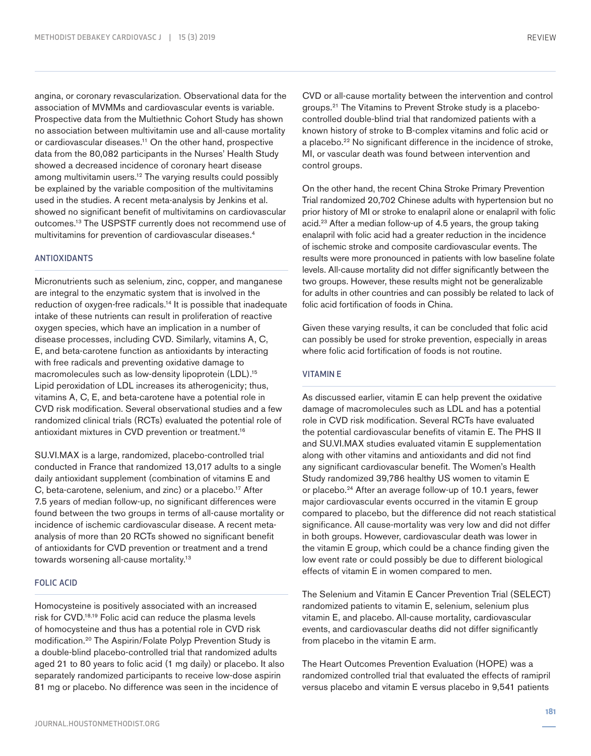angina, or coronary revascularization. Observational data for the association of MVMMs and cardiovascular events is variable. Prospective data from the Multiethnic Cohort Study has shown no association between multivitamin use and all-cause mortality or cardiovascular diseases.11 On the other hand, prospective data from the 80,082 participants in the Nurses' Health Study showed a decreased incidence of coronary heart disease among multivitamin users.<sup>12</sup> The varying results could possibly be explained by the variable composition of the multivitamins used in the studies. A recent meta-analysis by Jenkins et al. showed no significant benefit of multivitamins on cardiovascular outcomes.13 The USPSTF currently does not recommend use of multivitamins for prevention of cardiovascular diseases.4

## ANTIOXIDANTS

Micronutrients such as selenium, zinc, copper, and manganese are integral to the enzymatic system that is involved in the reduction of oxygen-free radicals.<sup>14</sup> It is possible that inadequate intake of these nutrients can result in proliferation of reactive oxygen species, which have an implication in a number of disease processes, including CVD. Similarly, vitamins A, C, E, and beta-carotene function as antioxidants by interacting with free radicals and preventing oxidative damage to macromolecules such as low-density lipoprotein (LDL).<sup>15</sup> Lipid peroxidation of LDL increases its atherogenicity; thus, vitamins A, C, E, and beta-carotene have a potential role in CVD risk modification. Several observational studies and a few randomized clinical trials (RCTs) evaluated the potential role of antioxidant mixtures in CVD prevention or treatment.16

SU.VI.MAX is a large, randomized, placebo-controlled trial conducted in France that randomized 13,017 adults to a single daily antioxidant supplement (combination of vitamins E and C, beta-carotene, selenium, and zinc) or a placebo.17 After 7.5 years of median follow-up, no significant differences were found between the two groups in terms of all-cause mortality or incidence of ischemic cardiovascular disease. A recent metaanalysis of more than 20 RCTs showed no significant benefit of antioxidants for CVD prevention or treatment and a trend towards worsening all-cause mortality.13

#### FOLIC ACID

Homocysteine is positively associated with an increased risk for CVD.18,19 Folic acid can reduce the plasma levels of homocysteine and thus has a potential role in CVD risk modification.20 The Aspirin/Folate Polyp Prevention Study is a double-blind placebo-controlled trial that randomized adults aged 21 to 80 years to folic acid (1 mg daily) or placebo. It also separately randomized participants to receive low-dose aspirin 81 mg or placebo. No difference was seen in the incidence of

CVD or all-cause mortality between the intervention and control groups.21 The Vitamins to Prevent Stroke study is a placebocontrolled double-blind trial that randomized patients with a known history of stroke to B-complex vitamins and folic acid or a placebo.22 No significant difference in the incidence of stroke, MI, or vascular death was found between intervention and control groups.

On the other hand, the recent China Stroke Primary Prevention Trial randomized 20,702 Chinese adults with hypertension but no prior history of MI or stroke to enalapril alone or enalapril with folic acid.<sup>23</sup> After a median follow-up of 4.5 years, the group taking enalapril with folic acid had a greater reduction in the incidence of ischemic stroke and composite cardiovascular events. The results were more pronounced in patients with low baseline folate levels. All-cause mortality did not differ significantly between the two groups. However, these results might not be generalizable for adults in other countries and can possibly be related to lack of folic acid fortification of foods in China.

Given these varying results, it can be concluded that folic acid can possibly be used for stroke prevention, especially in areas where folic acid fortification of foods is not routine.

# VITAMIN E

As discussed earlier, vitamin E can help prevent the oxidative damage of macromolecules such as LDL and has a potential role in CVD risk modification. Several RCTs have evaluated the potential cardiovascular benefits of vitamin E. The PHS II and SU.VI.MAX studies evaluated vitamin E supplementation along with other vitamins and antioxidants and did not find any significant cardiovascular benefit. The Women's Health Study randomized 39,786 healthy US women to vitamin E or placebo.24 After an average follow-up of 10.1 years, fewer major cardiovascular events occurred in the vitamin E group compared to placebo, but the difference did not reach statistical significance. All cause-mortality was very low and did not differ in both groups. However, cardiovascular death was lower in the vitamin E group, which could be a chance finding given the low event rate or could possibly be due to different biological effects of vitamin E in women compared to men.

The Selenium and Vitamin E Cancer Prevention Trial (SELECT) randomized patients to vitamin E, selenium, selenium plus vitamin E, and placebo. All-cause mortality, cardiovascular events, and cardiovascular deaths did not differ significantly from placebo in the vitamin E arm.

The Heart Outcomes Prevention Evaluation (HOPE) was a randomized controlled trial that evaluated the effects of ramipril versus placebo and vitamin E versus placebo in 9,541 patients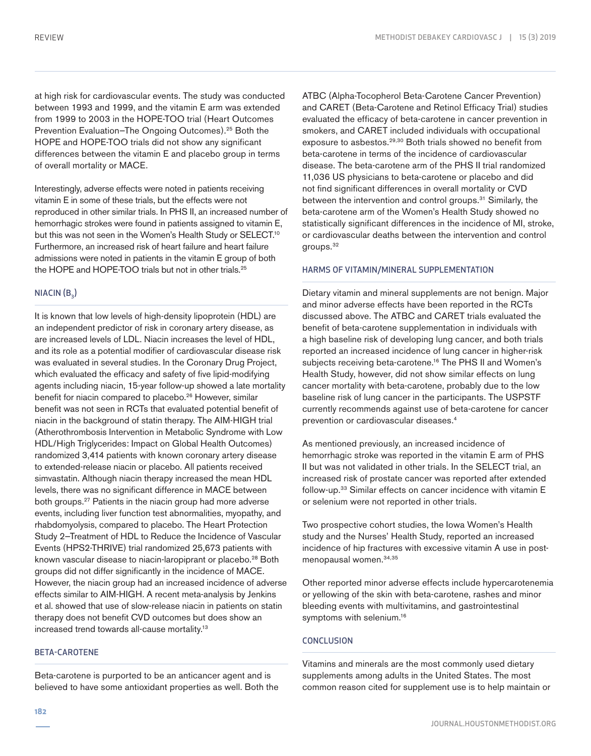at high risk for cardiovascular events. The study was conducted between 1993 and 1999, and the vitamin E arm was extended from 1999 to 2003 in the HOPE-TOO trial (Heart Outcomes Prevention Evaluation–The Ongoing Outcomes).<sup>25</sup> Both the HOPE and HOPE-TOO trials did not show any significant differences between the vitamin E and placebo group in terms of overall mortality or MACE.

Interestingly, adverse effects were noted in patients receiving vitamin E in some of these trials, but the effects were not reproduced in other similar trials. In PHS II, an increased number of hemorrhagic strokes were found in patients assigned to vitamin E, but this was not seen in the Women's Health Study or SELECT.<sup>10</sup> Furthermore, an increased risk of heart failure and heart failure admissions were noted in patients in the vitamin E group of both the HOPE and HOPE-TOO trials but not in other trials.<sup>25</sup>

## $NIACIN(B<sub>3</sub>)$

It is known that low levels of high-density lipoprotein (HDL) are an independent predictor of risk in coronary artery disease, as are increased levels of LDL. Niacin increases the level of HDL, and its role as a potential modifier of cardiovascular disease risk was evaluated in several studies. In the Coronary Drug Project, which evaluated the efficacy and safety of five lipid-modifying agents including niacin, 15-year follow-up showed a late mortality benefit for niacin compared to placebo.<sup>26</sup> However, similar benefit was not seen in RCTs that evaluated potential benefit of niacin in the background of statin therapy. The AIM-HIGH trial (Atherothrombosis Intervention in Metabolic Syndrome with Low HDL/High Triglycerides: Impact on Global Health Outcomes) randomized 3,414 patients with known coronary artery disease to extended-release niacin or placebo. All patients received simvastatin. Although niacin therapy increased the mean HDL levels, there was no significant difference in MACE between both groups.27 Patients in the niacin group had more adverse events, including liver function test abnormalities, myopathy, and rhabdomyolysis, compared to placebo. The Heart Protection Study 2—Treatment of HDL to Reduce the Incidence of Vascular Events (HPS2-THRIVE) trial randomized 25,673 patients with known vascular disease to niacin-laropiprant or placebo.<sup>28</sup> Both groups did not differ significantly in the incidence of MACE. However, the niacin group had an increased incidence of adverse effects similar to AIM-HIGH. A recent meta-analysis by Jenkins et al. showed that use of slow-release niacin in patients on statin therapy does not benefit CVD outcomes but does show an increased trend towards all-cause mortality.13

#### BETA-CAROTENE

Beta-carotene is purported to be an anticancer agent and is believed to have some antioxidant properties as well. Both the ATBC (Alpha-Tocopherol Beta-Carotene Cancer Prevention) and CARET (Beta-Carotene and Retinol Efficacy Trial) studies evaluated the efficacy of beta-carotene in cancer prevention in smokers, and CARET included individuals with occupational exposure to asbestos.<sup>29,30</sup> Both trials showed no benefit from beta-carotene in terms of the incidence of cardiovascular disease. The beta-carotene arm of the PHS II trial randomized 11,036 US physicians to beta-carotene or placebo and did not find significant differences in overall mortality or CVD between the intervention and control groups.<sup>31</sup> Similarly, the beta-carotene arm of the Women's Health Study showed no statistically significant differences in the incidence of MI, stroke, or cardiovascular deaths between the intervention and control groups.32

#### HARMS OF VITAMIN/MINERAL SUPPLEMENTATION

Dietary vitamin and mineral supplements are not benign. Major and minor adverse effects have been reported in the RCTs discussed above. The ATBC and CARET trials evaluated the benefit of beta-carotene supplementation in individuals with a high baseline risk of developing lung cancer, and both trials reported an increased incidence of lung cancer in higher-risk subjects receiving beta-carotene.<sup>16</sup> The PHS II and Women's Health Study, however, did not show similar effects on lung cancer mortality with beta-carotene, probably due to the low baseline risk of lung cancer in the participants. The USPSTF currently recommends against use of beta-carotene for cancer prevention or cardiovascular diseases.4

As mentioned previously, an increased incidence of hemorrhagic stroke was reported in the vitamin E arm of PHS II but was not validated in other trials. In the SELECT trial, an increased risk of prostate cancer was reported after extended follow-up.33 Similar effects on cancer incidence with vitamin E or selenium were not reported in other trials.

Two prospective cohort studies, the Iowa Women's Health study and the Nurses' Health Study, reported an increased incidence of hip fractures with excessive vitamin A use in postmenopausal women.34,35

Other reported minor adverse effects include hypercarotenemia or yellowing of the skin with beta-carotene, rashes and minor bleeding events with multivitamins, and gastrointestinal symptoms with selenium.<sup>16</sup>

## **CONCLUSION**

Vitamins and minerals are the most commonly used dietary supplements among adults in the United States. The most common reason cited for supplement use is to help maintain or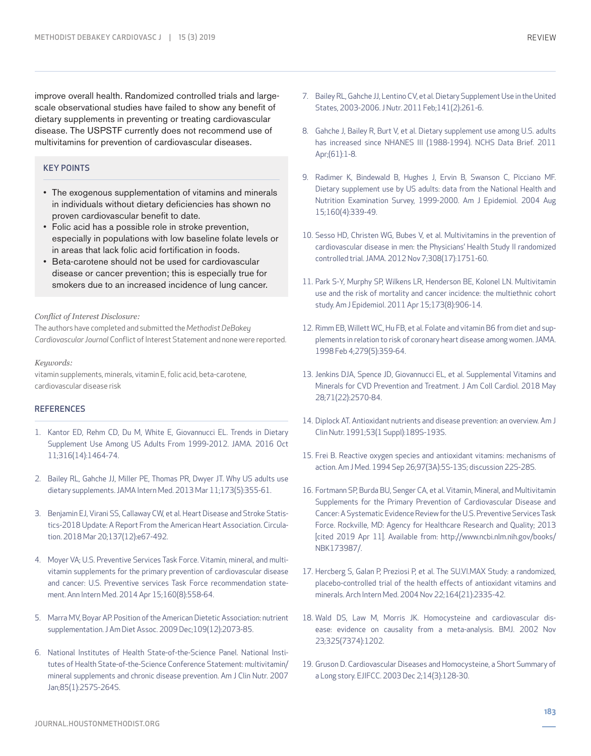improve overall health. Randomized controlled trials and largescale observational studies have failed to show any benefit of dietary supplements in preventing or treating cardiovascular disease. The USPSTF currently does not recommend use of multivitamins for prevention of cardiovascular diseases.

## KEY POINTS

- The exogenous supplementation of vitamins and minerals in individuals without dietary deficiencies has shown no proven cardiovascular benefit to date.
- Folic acid has a possible role in stroke prevention, especially in populations with low baseline folate levels or in areas that lack folic acid fortification in foods.
- Beta-carotene should not be used for cardiovascular disease or cancer prevention; this is especially true for smokers due to an increased incidence of lung cancer.

*Conflict of Interest Disclosure:*

The authors have completed and submitted the *Methodist DeBakey Cardiovascular Journal* Conflict of Interest Statement and none were reported.

*Keywords:*

vitamin supplements, minerals, vitamin E, folic acid, beta-carotene, cardiovascular disease risk

#### **REFERENCES**

- 1. Kantor ED, Rehm CD, Du M, White E, Giovannucci EL. Trends in Dietary Supplement Use Among US Adults From 1999-2012. JAMA. 2016 Oct 11;316(14):1464-74.
- 2. Bailey RL, Gahche JJ, Miller PE, Thomas PR, Dwyer JT. Why US adults use dietary supplements. JAMA Intern Med. 2013 Mar 11;173(5):355-61.
- 3. Benjamin EJ, Virani SS, Callaway CW, et al. Heart Disease and Stroke Statistics-2018 Update: A Report From the American Heart Association. Circulation. 2018 Mar 20;137(12):e67-492.
- 4. Moyer VA; U.S. Preventive Services Task Force. Vitamin, mineral, and multivitamin supplements for the primary prevention of cardiovascular disease and cancer: U.S. Preventive services Task Force recommendation statement. Ann Intern Med. 2014 Apr 15;160(8):558-64.
- 5. Marra MV, Boyar AP. Position of the American Dietetic Association: nutrient supplementation. J Am Diet Assoc. 2009 Dec;109(12):2073-85.
- 6. National Institutes of Health State-of-the-Science Panel. National Institutes of Health State-of-the-Science Conference Statement: multivitamin/ mineral supplements and chronic disease prevention. Am J Clin Nutr. 2007 Jan;85(1):257S-264S.
- 7. Bailey RL, Gahche JJ, Lentino CV, et al. Dietary Supplement Use in the United States, 2003-2006. J Nutr. 2011 Feb;141(2):261-6.
- 8. Gahche J, Bailey R, Burt V, et al. Dietary supplement use among U.S. adults has increased since NHANES III (1988-1994). NCHS Data Brief. 2011 Apr;(61):1-8.
- 9. Radimer K, Bindewald B, Hughes J, Ervin B, Swanson C, Picciano MF. Dietary supplement use by US adults: data from the National Health and Nutrition Examination Survey, 1999-2000. Am J Epidemiol. 2004 Aug 15;160(4):339-49.
- 10. Sesso HD, Christen WG, Bubes V, et al. Multivitamins in the prevention of cardiovascular disease in men: the Physicians' Health Study II randomized controlled trial. JAMA. 2012 Nov 7;308(17):1751-60.
- 11. Park S-Y, Murphy SP, Wilkens LR, Henderson BE, Kolonel LN. Multivitamin use and the risk of mortality and cancer incidence: the multiethnic cohort study. Am J Epidemiol. 2011 Apr 15;173(8):906-14.
- 12. Rimm EB, Willett WC, Hu FB, et al. Folate and vitamin B6 from diet and supplements in relation to risk of coronary heart disease among women. JAMA. 1998 Feb 4;279(5):359-64.
- 13. Jenkins DJA, Spence JD, Giovannucci EL, et al. Supplemental Vitamins and Minerals for CVD Prevention and Treatment. J Am Coll Cardiol. 2018 May 28;71(22):2570-84.
- 14. Diplock AT. Antioxidant nutrients and disease prevention: an overview. Am J Clin Nutr. 1991;53(1 Suppl):189S-193S.
- 15. Frei B. Reactive oxygen species and antioxidant vitamins: mechanisms of action. Am J Med. 1994 Sep 26;97(3A):5S-13S; discussion 22S-28S.
- 16. Fortmann SP, Burda BU, Senger CA, et al. Vitamin, Mineral, and Multivitamin Supplements for the Primary Prevention of Cardiovascular Disease and Cancer: A Systematic Evidence Review for the U.S. Preventive Services Task Force. Rockville, MD: Agency for Healthcare Research and Quality; 2013 [cited 2019 Apr 11]. Available from: http://www.ncbi.nlm.nih.gov/books/ NBK173987/.
- 17. Hercberg S, Galan P, Preziosi P, et al. The SU.VI.MAX Study: a randomized, placebo-controlled trial of the health effects of antioxidant vitamins and minerals. Arch Intern Med. 2004 Nov 22;164(21):2335-42.
- 18. Wald DS, Law M, Morris JK. Homocysteine and cardiovascular disease: evidence on causality from a meta-analysis. BMJ. 2002 Nov 23;325(7374):1202.
- 19. Gruson D. Cardiovascular Diseases and Homocysteine, a Short Summary of a Long story. EJIFCC. 2003 Dec 2;14(3):128-30.